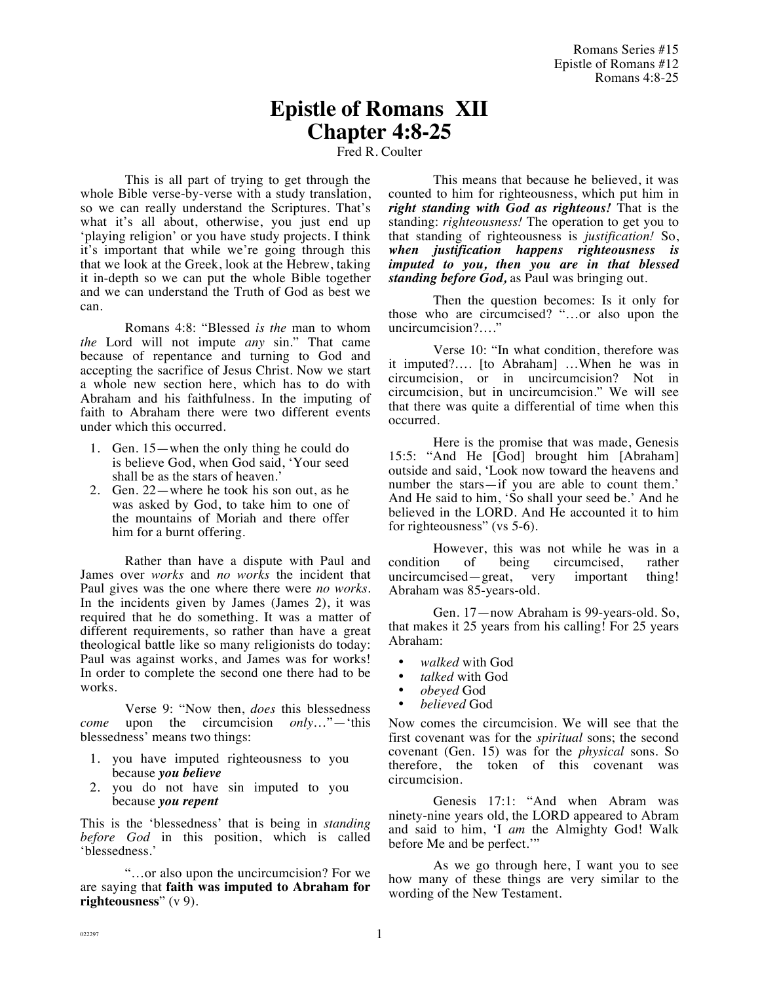# **Epistle of Romans XII Chapter 4:8-25**

### Fred R. Coulter

This is all part of trying to get through the whole Bible verse-by-verse with a study translation, so we can really understand the Scriptures. That's what it's all about, otherwise, you just end up 'playing religion' or you have study projects. I think it's important that while we're going through this that we look at the Greek, look at the Hebrew, taking it in-depth so we can put the whole Bible together and we can understand the Truth of God as best we can.

Romans 4:8: "Blessed *is the* man to whom *the* Lord will not impute *any* sin." That came because of repentance and turning to God and accepting the sacrifice of Jesus Christ. Now we start a whole new section here, which has to do with Abraham and his faithfulness. In the imputing of faith to Abraham there were two different events under which this occurred.

- 1. Gen. 15—when the only thing he could do is believe God, when God said, 'Your seed shall be as the stars of heaven.'
- 2. Gen. 22—where he took his son out, as he was asked by God, to take him to one of the mountains of Moriah and there offer him for a burnt offering.

Rather than have a dispute with Paul and James over *works* and *no works* the incident that Paul gives was the one where there were *no works*. In the incidents given by James (James 2), it was required that he do something. It was a matter of different requirements, so rather than have a great theological battle like so many religionists do today: Paul was against works, and James was for works! In order to complete the second one there had to be works.

Verse 9: "Now then, *does* this blessedness *come* upon the circumcision *only*…"—'this blessedness' means two things:

- 1. you have imputed righteousness to you because *you believe*
- 2. you do not have sin imputed to you because *you repent*

This is the 'blessedness' that is being in *standing before God* in this position, which is called 'blessedness.'

"…or also upon the uncircumcision? For we are saying that **faith was imputed to Abraham for righteousness**" (v 9).

This means that because he believed, it was counted to him for righteousness, which put him in *right standing with God as righteous!* That is the standing: *righteousness!* The operation to get you to that standing of righteousness is *justification!* So, *when justification happens righteousness is imputed to you, then you are in that blessed standing before God,* as Paul was bringing out.

Then the question becomes: Is it only for those who are circumcised? "…or also upon the uncircumcision?…."

Verse 10: "In what condition, therefore was it imputed?…. [to Abraham] …When he was in circumcision, or in uncircumcision? Not in circumcision, but in uncircumcision." We will see that there was quite a differential of time when this occurred.

Here is the promise that was made, Genesis 15:5: "And He [God] brought him [Abraham] outside and said, 'Look now toward the heavens and number the stars—if you are able to count them.' And He said to him, 'So shall your seed be.' And he believed in the LORD. And He accounted it to him for righteousness" (vs 5-6).

However, this was not while he was in a condition of being circumcised, rather uncircumcised—great, very important thing! Abraham was 85-years-old.

Gen. 17—now Abraham is 99-years-old. So, that makes it 25 years from his calling! For 25 years Abraham:

- *walked* with God
- *talked* with God
- *obeyed* God
- *believed* God

Now comes the circumcision. We will see that the first covenant was for the *spiritual* sons; the second covenant (Gen. 15) was for the *physical* sons. So therefore, the token of this covenant was circumcision.

Genesis 17:1: "And when Abram was ninety-nine years old, the LORD appeared to Abram and said to him, 'I *am* the Almighty God! Walk before Me and be perfect.'"

As we go through here, I want you to see how many of these things are very similar to the wording of the New Testament.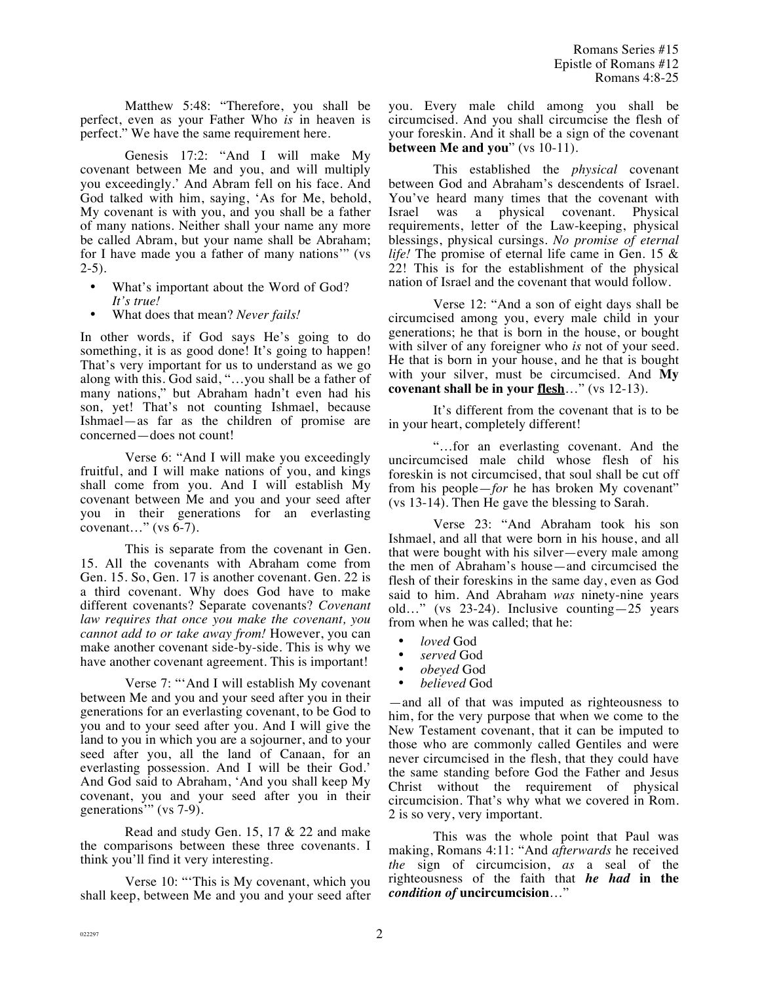Matthew 5:48: "Therefore, you shall be perfect, even as your Father Who *is* in heaven is perfect." We have the same requirement here.

Genesis 17:2: "And I will make My covenant between Me and you, and will multiply you exceedingly.' And Abram fell on his face. And God talked with him, saying, 'As for Me, behold, My covenant is with you, and you shall be a father of many nations. Neither shall your name any more be called Abram, but your name shall be Abraham; for I have made you a father of many nations'" (vs  $2-5$ ).

- What's important about the Word of God? *It's true!*
- What does that mean? *Never fails!*

In other words, if God says He's going to do something, it is as good done! It's going to happen! That's very important for us to understand as we go along with this. God said, "…you shall be a father of many nations," but Abraham hadn't even had his son, yet! That's not counting Ishmael, because Ishmael—as far as the children of promise are concerned—does not count!

Verse 6: "And I will make you exceedingly fruitful, and I will make nations of you, and kings shall come from you. And I will establish My covenant between Me and you and your seed after you in their generations for an everlasting covenant…" (vs 6-7).

This is separate from the covenant in Gen. 15. All the covenants with Abraham come from Gen. 15. So, Gen. 17 is another covenant. Gen. 22 is a third covenant. Why does God have to make different covenants? Separate covenants? *Covenant law requires that once you make the covenant, you cannot add to or take away from!* However, you can make another covenant side-by-side. This is why we have another covenant agreement. This is important!

Verse 7: "'And I will establish My covenant between Me and you and your seed after you in their generations for an everlasting covenant, to be God to you and to your seed after you. And I will give the land to you in which you are a sojourner, and to your seed after you, all the land of Canaan, for an everlasting possession. And I will be their God.' And God said to Abraham, 'And you shall keep My covenant, you and your seed after you in their generations'" (vs 7-9).

Read and study Gen. 15, 17 & 22 and make the comparisons between these three covenants. I think you'll find it very interesting.

Verse 10: "'This is My covenant, which you shall keep, between Me and you and your seed after you. Every male child among you shall be circumcised. And you shall circumcise the flesh of your foreskin. And it shall be a sign of the covenant **between Me and you**" (vs 10-11).

This established the *physical* covenant between God and Abraham's descendents of Israel. You've heard many times that the covenant with Israel was a physical covenant. Physical requirements, letter of the Law-keeping, physical blessings, physical cursings. *No promise of eternal life!* The promise of eternal life came in Gen. 15 & 22! This is for the establishment of the physical nation of Israel and the covenant that would follow.

Verse 12: "And a son of eight days shall be circumcised among you, every male child in your generations; he that is born in the house, or bought with silver of any foreigner who *is* not of your seed. He that is born in your house, and he that is bought with your silver, must be circumcised. And **My covenant shall be in your flesh**…" (vs 12-13).

It's different from the covenant that is to be in your heart, completely different!

"…for an everlasting covenant. And the uncircumcised male child whose flesh of his foreskin is not circumcised, that soul shall be cut off from his people—*for* he has broken My covenant" (vs 13-14). Then He gave the blessing to Sarah.

Verse 23: "And Abraham took his son Ishmael, and all that were born in his house, and all that were bought with his silver—every male among the men of Abraham's house—and circumcised the flesh of their foreskins in the same day, even as God said to him. And Abraham *was* ninety-nine years old…" (vs 23-24). Inclusive counting—25 years from when he was called; that he:

- *loved* God
- *served* God
- *obeyed* God
- *believed* God

—and all of that was imputed as righteousness to him, for the very purpose that when we come to the New Testament covenant, that it can be imputed to those who are commonly called Gentiles and were never circumcised in the flesh, that they could have the same standing before God the Father and Jesus Christ without the requirement of physical circumcision. That's why what we covered in Rom. 2 is so very, very important.

This was the whole point that Paul was making, Romans 4:11: "And *afterwards* he received *the* sign of circumcision, *as* a seal of the righteousness of the faith that *he had* **in the**  *condition of* **uncircumcision**…"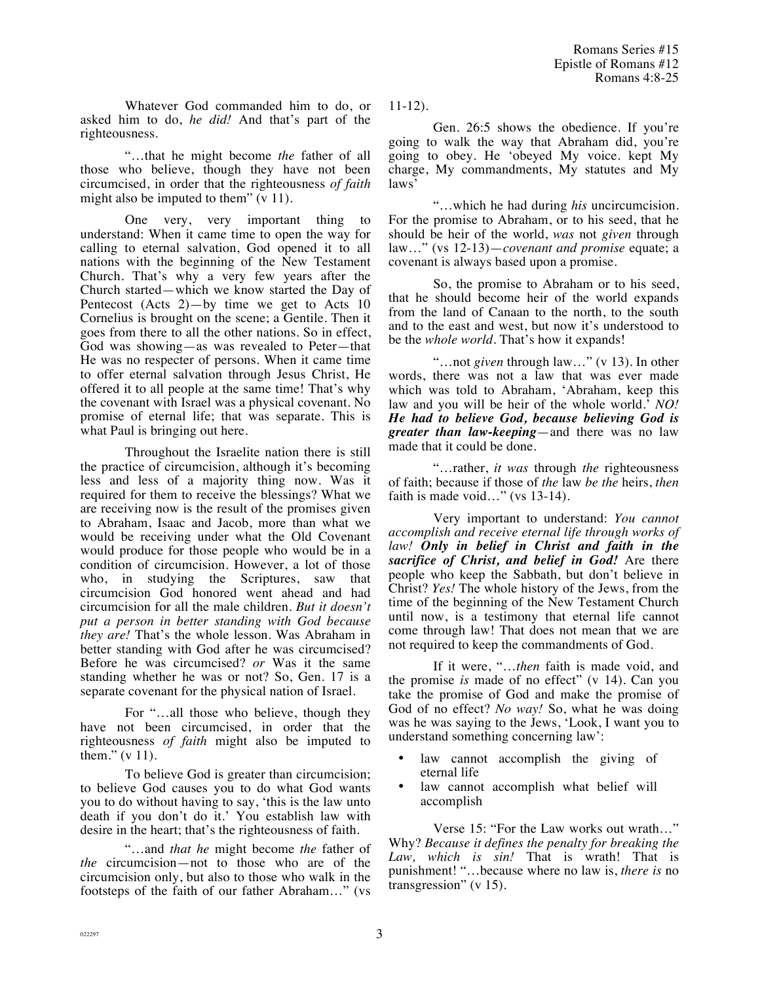Whatever God commanded him to do, or asked him to do, *he did!* And that's part of the righteousness.

"…that he might become *the* father of all those who believe, though they have not been circumcised, in order that the righteousness *of faith* might also be imputed to them" (v 11).

One very, very important thing to understand: When it came time to open the way for calling to eternal salvation, God opened it to all nations with the beginning of the New Testament Church. That's why a very few years after the Church started—which we know started the Day of Pentecost (Acts 2)—by time we get to Acts 10 Cornelius is brought on the scene; a Gentile. Then it goes from there to all the other nations. So in effect, God was showing—as was revealed to Peter—that He was no respecter of persons. When it came time to offer eternal salvation through Jesus Christ, He offered it to all people at the same time! That's why the covenant with Israel was a physical covenant. No promise of eternal life; that was separate. This is what Paul is bringing out here.

Throughout the Israelite nation there is still the practice of circumcision, although it's becoming less and less of a majority thing now. Was it required for them to receive the blessings? What we are receiving now is the result of the promises given to Abraham, Isaac and Jacob, more than what we would be receiving under what the Old Covenant would produce for those people who would be in a condition of circumcision. However, a lot of those who, in studying the Scriptures, saw that circumcision God honored went ahead and had circumcision for all the male children. *But it doesn't put a person in better standing with God because they are!* That's the whole lesson. Was Abraham in better standing with God after he was circumcised? Before he was circumcised? *or* Was it the same standing whether he was or not? So, Gen. 17 is a separate covenant for the physical nation of Israel.

For "…all those who believe, though they have not been circumcised, in order that the righteousness *of faith* might also be imputed to them." (v 11).

To believe God is greater than circumcision; to believe God causes you to do what God wants you to do without having to say, 'this is the law unto death if you don't do it.' You establish law with desire in the heart; that's the righteousness of faith.

"…and *that he* might become *the* father of *the* circumcision—not to those who are of the circumcision only, but also to those who walk in the footsteps of the faith of our father Abraham…" (vs 11-12).

Gen. 26:5 shows the obedience. If you're going to walk the way that Abraham did, you're going to obey. He 'obeyed My voice. kept My charge, My commandments, My statutes and My laws'

"…which he had during *his* uncircumcision. For the promise to Abraham, or to his seed, that he should be heir of the world, *was* not *given* through law…" (vs 12-13)—*covenant and promise* equate; a covenant is always based upon a promise.

So, the promise to Abraham or to his seed, that he should become heir of the world expands from the land of Canaan to the north, to the south and to the east and west, but now it's understood to be the *whole world*. That's how it expands!

"…not *given* through law…" (v 13). In other words, there was not a law that was ever made which was told to Abraham, 'Abraham, keep this law and you will be heir of the whole world.' *NO! He had to believe God, because believing God is greater than law-keeping*—and there was no law made that it could be done.

"…rather, *it was* through *the* righteousness of faith; because if those of *the* law *be the* heirs, *then* faith is made void..." (vs 13-14).

Very important to understand: *You cannot accomplish and receive eternal life through works of law! Only in belief in Christ and faith in the sacrifice of Christ, and belief in God!* Are there people who keep the Sabbath, but don't believe in Christ? *Yes!* The whole history of the Jews, from the time of the beginning of the New Testament Church until now, is a testimony that eternal life cannot come through law! That does not mean that we are not required to keep the commandments of God.

If it were, "…*then* faith is made void, and the promise *is* made of no effect" (v 14). Can you take the promise of God and make the promise of God of no effect? *No way!* So, what he was doing was he was saying to the Jews, 'Look, I want you to understand something concerning law':

- law cannot accomplish the giving of eternal life
- law cannot accomplish what belief will accomplish

Verse 15: "For the Law works out wrath…" Why? *Because it defines the penalty for breaking the Law, which is sin!* That is wrath! That is punishment! "…because where no law is, *there is* no transgression" (v 15).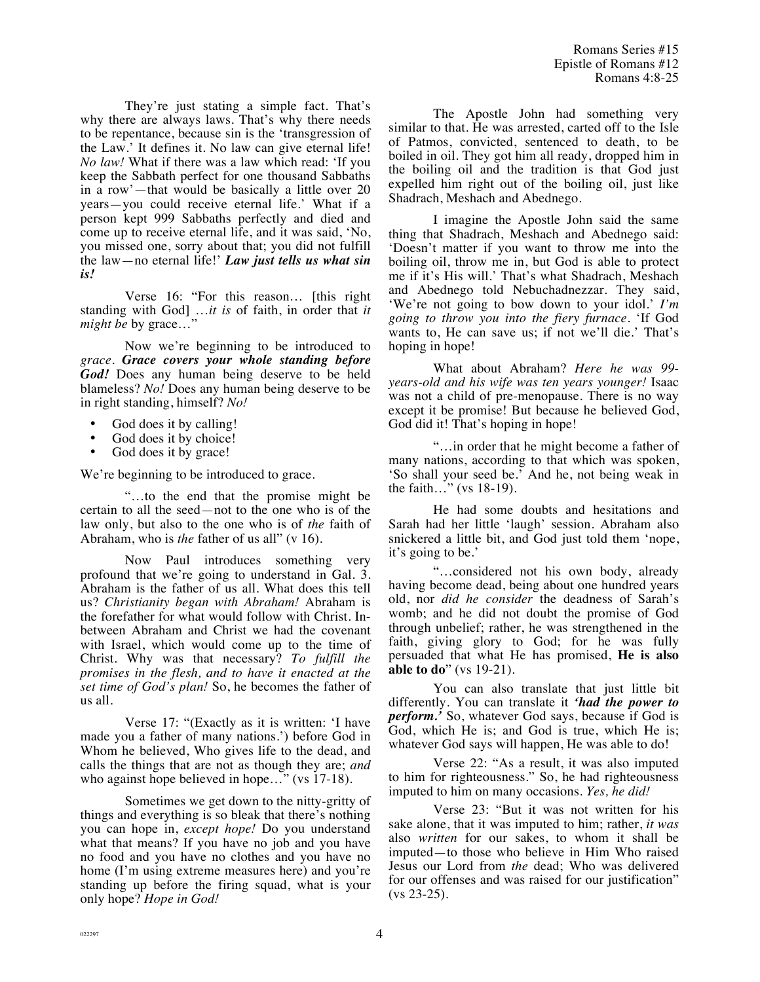They're just stating a simple fact. That's why there are always laws. That's why there needs to be repentance, because sin is the 'transgression of the Law.' It defines it. No law can give eternal life! *No law!* What if there was a law which read: 'If you keep the Sabbath perfect for one thousand Sabbaths in a row'—that would be basically a little over 20 years—you could receive eternal life.' What if a person kept 999 Sabbaths perfectly and died and come up to receive eternal life, and it was said, 'No, you missed one, sorry about that; you did not fulfill the law—no eternal life!' *Law just tells us what sin is!*

Verse 16: "For this reason… [this right standing with God] …*it is* of faith, in order that *it might be* by grace…"

Now we're beginning to be introduced to *grace. Grace covers your whole standing before God!* Does any human being deserve to be held blameless? *No!* Does any human being deserve to be in right standing, himself? *No!*

- God does it by calling!
- God does it by choice!<br>• God does it by grace!
- God does it by grace!

We're beginning to be introduced to grace.

"…to the end that the promise might be certain to all the seed—not to the one who is of the law only, but also to the one who is of *the* faith of Abraham, who is *the* father of us all" (v 16).

Now Paul introduces something very profound that we're going to understand in Gal. 3. Abraham is the father of us all. What does this tell us? *Christianity began with Abraham!* Abraham is the forefather for what would follow with Christ. Inbetween Abraham and Christ we had the covenant with Israel, which would come up to the time of Christ. Why was that necessary? *To fulfill the promises in the flesh, and to have it enacted at the set time of God's plan!* So, he becomes the father of us all.

Verse 17: "(Exactly as it is written: 'I have made you a father of many nations.') before God in Whom he believed, Who gives life to the dead, and calls the things that are not as though they are; *and*  who against hope believed in hope..." (vs 17-18).

Sometimes we get down to the nitty-gritty of things and everything is so bleak that there's nothing you can hope in, *except hope!* Do you understand what that means? If you have no job and you have no food and you have no clothes and you have no home (I'm using extreme measures here) and you're standing up before the firing squad, what is your only hope? *Hope in God!*

The Apostle John had something very similar to that. He was arrested, carted off to the Isle of Patmos, convicted, sentenced to death, to be boiled in oil. They got him all ready, dropped him in the boiling oil and the tradition is that God just expelled him right out of the boiling oil, just like Shadrach, Meshach and Abednego.

I imagine the Apostle John said the same thing that Shadrach, Meshach and Abednego said: 'Doesn't matter if you want to throw me into the boiling oil, throw me in, but God is able to protect me if it's His will.' That's what Shadrach, Meshach and Abednego told Nebuchadnezzar. They said, 'We're not going to bow down to your idol.' *I'm going to throw you into the fiery furnace.* 'If God wants to, He can save us; if not we'll die.' That's hoping in hope!

What about Abraham? *Here he was 99 years-old and his wife was ten years younger!* Isaac was not a child of pre-menopause. There is no way except it be promise! But because he believed God, God did it! That's hoping in hope!

"…in order that he might become a father of many nations, according to that which was spoken, 'So shall your seed be.' And he, not being weak in the faith…" (vs 18-19).

He had some doubts and hesitations and Sarah had her little 'laugh' session. Abraham also snickered a little bit, and God just told them 'nope, it's going to be.'

"…considered not his own body, already having become dead, being about one hundred years old, nor *did he consider* the deadness of Sarah's womb; and he did not doubt the promise of God through unbelief; rather, he was strengthened in the faith, giving glory to God; for he was fully persuaded that what He has promised, **He is also able to do**" (vs 19-21).

You can also translate that just little bit differently. You can translate it *'had the power to perform.'* So, whatever God says, because if God is God, which He is; and God is true, which He is; whatever God says will happen, He was able to do!

Verse 22: "As a result, it was also imputed to him for righteousness." So, he had righteousness imputed to him on many occasions. *Yes, he did!*

Verse 23: "But it was not written for his sake alone, that it was imputed to him; rather, *it was* also *written* for our sakes, to whom it shall be imputed—to those who believe in Him Who raised Jesus our Lord from *the* dead; Who was delivered for our offenses and was raised for our justification" (vs 23-25).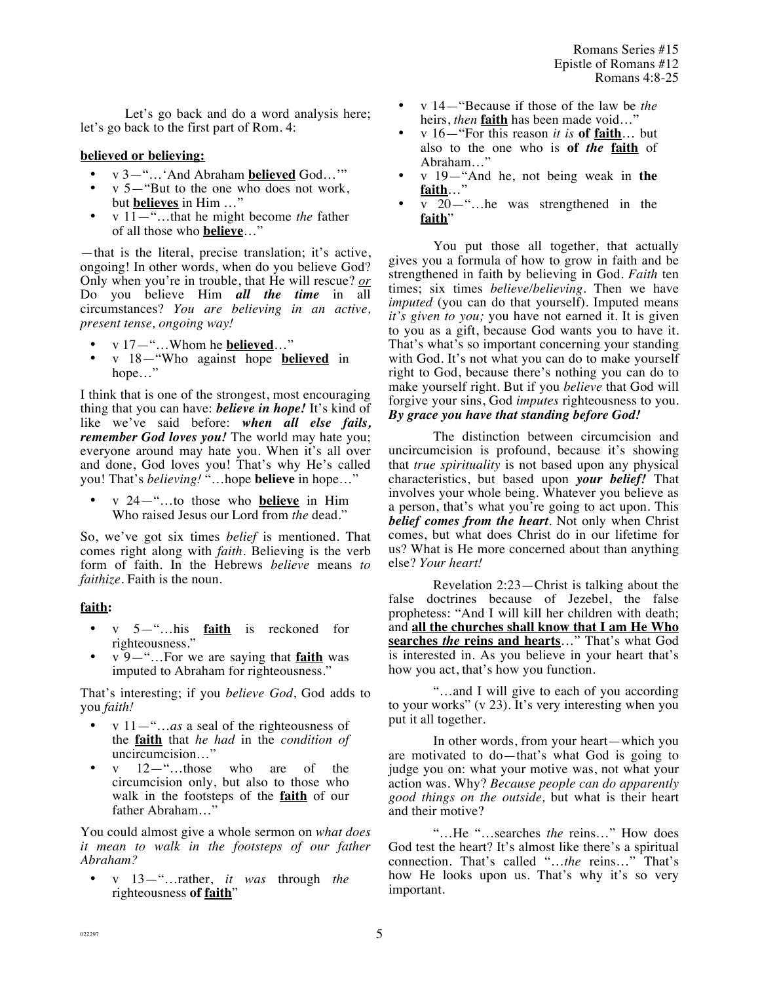Let's go back and do a word analysis here; let's go back to the first part of Rom. 4:

#### **believed or believing:**

- v 3—"…'And Abraham **believed** God…'"
- v 5—"But to the one who does not work, but **believes** in Him …"
- v 11—"…that he might become *the* father of all those who **believe**…"

—that is the literal, precise translation; it's active, ongoing! In other words, when do you believe God? Only when you're in trouble, that He will rescue? *or* Do you believe Him *all the time* in all circumstances? *You are believing in an active, present tense, ongoing way!*

- v 17—"…Whom he **believed**…"
- v 18—"Who against hope **believed** in hope…"

I think that is one of the strongest, most encouraging thing that you can have: *believe in hope!* It's kind of like we've said before: *when all else fails, remember God loves you!* The world may hate you; everyone around may hate you. When it's all over and done, God loves you! That's why He's called you! That's *believing!* "…hope **believe** in hope…"

• v 24—"…to those who **believe** in Him Who raised Jesus our Lord from *the* dead."

So, we've got six times *belief* is mentioned. That comes right along with *faith.* Believing is the verb form of faith. In the Hebrews *believe* means *to faithize.* Faith is the noun.

## **faith:**

- v 5—"…his **faith** is reckoned for righteousness."
- v 9—"…For we are saying that **faith** was imputed to Abraham for righteousness."

That's interesting; if you *believe God*, God adds to you *faith!*

- v 11—"…*as* a seal of the righteousness of the **faith** that *he had* in the *condition of* uncircumcision…"
- v 12<sup>-"</sup>...those who are of the circumcision only, but also to those who walk in the footsteps of the **faith** of our father Abraham…"

You could almost give a whole sermon on *what does it mean to walk in the footsteps of our father Abraham?*

• v 13—"…rather, *it was* through *the* righteousness **of faith**"

- v 14—"Because if those of the law be *the* heirs, *then* **faith** has been made void…"
- v 16—"For this reason *it is* **of faith**… but also to the one who is **of** *the* **faith** of Abraham…"
- v 19—"And he, not being weak in **the faith**…"
- v 20<sup>-"</sup>...he was strengthened in the **faith**"

You put those all together, that actually gives you a formula of how to grow in faith and be strengthened in faith by believing in God. *Faith* ten times; six times *believe/believing*. Then we have *imputed* (you can do that yourself). Imputed means *it's given to you;* you have not earned it. It is given to you as a gift, because God wants you to have it. That's what's so important concerning your standing with God. It's not what you can do to make yourself right to God, because there's nothing you can do to make yourself right. But if you *believe* that God will forgive your sins, God *imputes* righteousness to you. *By grace you have that standing before God!* 

The distinction between circumcision and uncircumcision is profound, because it's showing that *true spirituality* is not based upon any physical characteristics, but based upon *your belief!* That involves your whole being. Whatever you believe as a person, that's what you're going to act upon. This *belief comes from the heart*. Not only when Christ comes, but what does Christ do in our lifetime for us? What is He more concerned about than anything else? *Your heart!*

Revelation 2:23—Christ is talking about the false doctrines because of Jezebel, the false prophetess: "And I will kill her children with death; and **all the churches shall know that I am He Who searches** *the* **reins and hearts**…" That's what God is interested in. As you believe in your heart that's how you act, that's how you function.

"…and I will give to each of you according to your works" (v 23). It's very interesting when you put it all together.

In other words, from your heart—which you are motivated to do—that's what God is going to judge you on: what your motive was, not what your action was. Why? *Because people can do apparently good things on the outside,* but what is their heart and their motive?

"…He "…searches *the* reins…" How does God test the heart? It's almost like there's a spiritual connection. That's called "…*the* reins…" That's how He looks upon us. That's why it's so very important.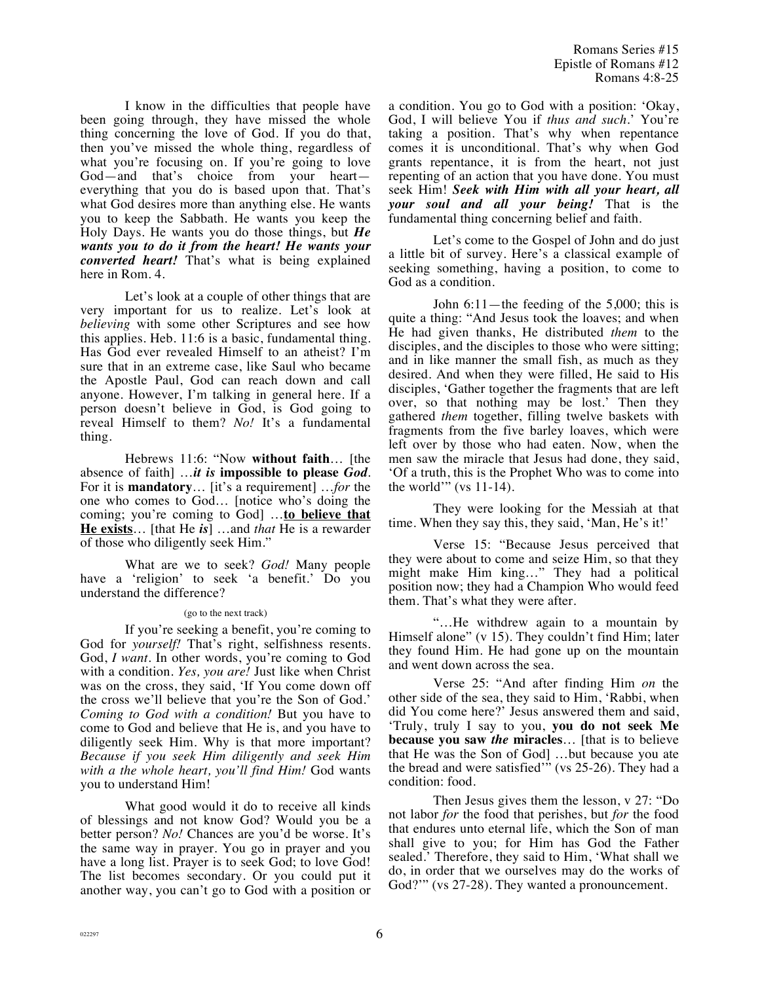I know in the difficulties that people have been going through, they have missed the whole thing concerning the love of God. If you do that, then you've missed the whole thing, regardless of what you're focusing on. If you're going to love God—and that's choice from your heart everything that you do is based upon that. That's what God desires more than anything else. He wants you to keep the Sabbath. He wants you keep the Holy Days. He wants you do those things, but *He wants you to do it from the heart! He wants your converted heart!* That's what is being explained here in Rom. 4.

Let's look at a couple of other things that are very important for us to realize. Let's look at *believing* with some other Scriptures and see how this applies. Heb. 11:6 is a basic, fundamental thing. Has God ever revealed Himself to an atheist? I'm sure that in an extreme case, like Saul who became the Apostle Paul, God can reach down and call anyone. However, I'm talking in general here. If a person doesn't believe in God, is God going to reveal Himself to them? *No!* It's a fundamental thing.

Hebrews 11:6: "Now **without faith**… [the absence of faith] …*it is* **impossible to please** *God*. For it is **mandatory**… [it's a requirement] …*for* the one who comes to God… [notice who's doing the coming; you're coming to God] …**to believe that He exists**… [that He *is*] …and *that* He is a rewarder of those who diligently seek Him."

What are we to seek? *God!* Many people have a 'religion' to seek 'a benefit.' Do you understand the difference?

#### (go to the next track)

If you're seeking a benefit, you're coming to God for *yourself!* That's right, selfishness resents. God, *I want*. In other words, you're coming to God with a condition. *Yes, you are!* Just like when Christ was on the cross, they said, 'If You come down off the cross we'll believe that you're the Son of God.' *Coming to God with a condition!* But you have to come to God and believe that He is, and you have to diligently seek Him. Why is that more important? *Because if you seek Him diligently and seek Him with a the whole heart, you'll find Him!* God wants you to understand Him!

What good would it do to receive all kinds of blessings and not know God? Would you be a better person? *No!* Chances are you'd be worse. It's the same way in prayer. You go in prayer and you have a long list. Prayer is to seek God; to love God! The list becomes secondary. Or you could put it another way, you can't go to God with a position or a condition. You go to God with a position: 'Okay, God, I will believe You if *thus and such.*' You're taking a position. That's why when repentance comes it is unconditional. That's why when God grants repentance, it is from the heart, not just repenting of an action that you have done. You must seek Him! *Seek with Him with all your heart, all your soul and all your being!* That is the fundamental thing concerning belief and faith.

Let's come to the Gospel of John and do just a little bit of survey. Here's a classical example of seeking something, having a position, to come to God as a condition.

John 6:11—the feeding of the 5,000; this is quite a thing: "And Jesus took the loaves; and when He had given thanks, He distributed *them* to the disciples, and the disciples to those who were sitting; and in like manner the small fish, as much as they desired. And when they were filled, He said to His disciples, 'Gather together the fragments that are left over, so that nothing may be lost.' Then they gathered *them* together, filling twelve baskets with fragments from the five barley loaves, which were left over by those who had eaten. Now, when the men saw the miracle that Jesus had done, they said, 'Of a truth, this is the Prophet Who was to come into the world'" (vs  $11-14$ ).

They were looking for the Messiah at that time. When they say this, they said, 'Man, He's it!'

Verse 15: "Because Jesus perceived that they were about to come and seize Him, so that they might make Him king…" They had a political position now; they had a Champion Who would feed them. That's what they were after.

"…He withdrew again to a mountain by Himself alone" (v 15). They couldn't find Him; later they found Him. He had gone up on the mountain and went down across the sea.

Verse 25: "And after finding Him *on* the other side of the sea, they said to Him, 'Rabbi, when did You come here?' Jesus answered them and said, 'Truly, truly I say to you, **you do not seek Me because you saw** *the* **miracles**… [that is to believe that He was the Son of God] …but because you ate the bread and were satisfied'" (vs 25-26). They had a condition: food.

Then Jesus gives them the lesson, v 27: "Do not labor *for* the food that perishes, but *for* the food that endures unto eternal life, which the Son of man shall give to you; for Him has God the Father sealed.' Therefore, they said to Him, 'What shall we do, in order that we ourselves may do the works of God?"" (vs 27-28). They wanted a pronouncement.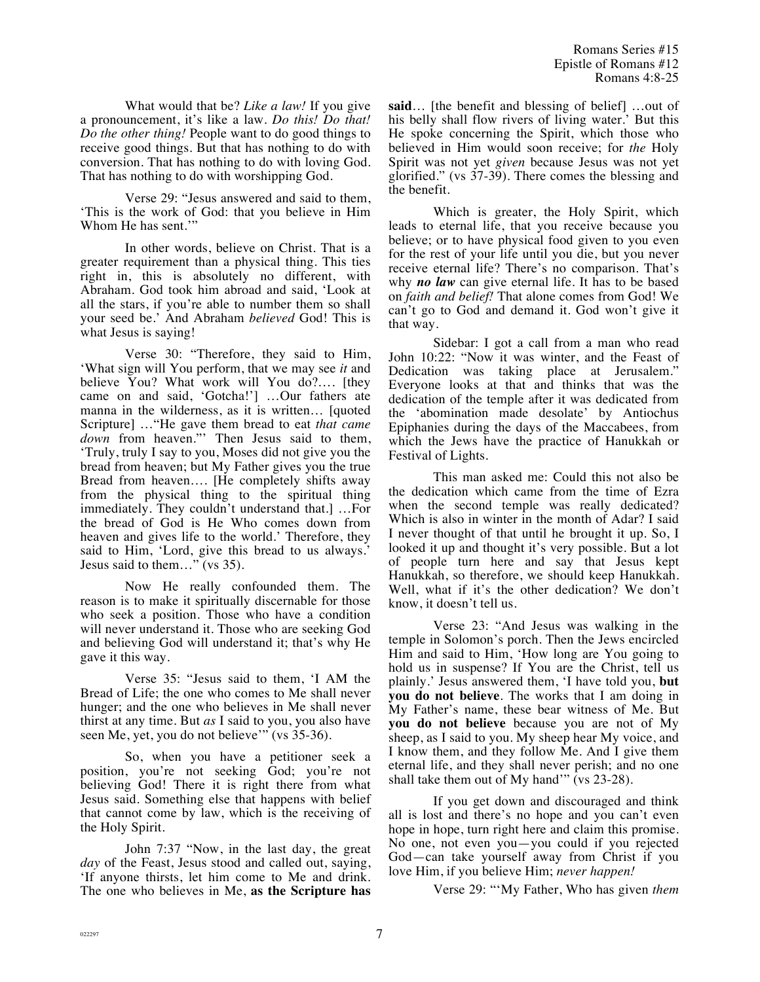What would that be? *Like a law!* If you give a pronouncement, it's like a law. *Do this! Do that! Do the other thing!* People want to do good things to receive good things. But that has nothing to do with conversion. That has nothing to do with loving God. That has nothing to do with worshipping God.

Verse 29: "Jesus answered and said to them, 'This is the work of God: that you believe in Him Whom He has sent.'"

In other words, believe on Christ. That is a greater requirement than a physical thing. This ties right in, this is absolutely no different, with Abraham. God took him abroad and said, 'Look at all the stars, if you're able to number them so shall your seed be.' And Abraham *believed* God! This is what Jesus is saying!

Verse 30: "Therefore, they said to Him, 'What sign will You perform, that we may see *it* and believe You? What work will You do?…. [they came on and said, 'Gotcha!'] …Our fathers ate manna in the wilderness, as it is written… [quoted Scripture] …"He gave them bread to eat *that came down* from heaven."' Then Jesus said to them, 'Truly, truly I say to you, Moses did not give you the bread from heaven; but My Father gives you the true Bread from heaven…. [He completely shifts away from the physical thing to the spiritual thing immediately. They couldn't understand that.] …For the bread of God is He Who comes down from heaven and gives life to the world.' Therefore, they said to Him, 'Lord, give this bread to us always.' Jesus said to them…" (vs 35).

Now He really confounded them. The reason is to make it spiritually discernable for those who seek a position. Those who have a condition will never understand it. Those who are seeking God and believing God will understand it; that's why He gave it this way.

Verse 35: "Jesus said to them, 'I AM the Bread of Life; the one who comes to Me shall never hunger; and the one who believes in Me shall never thirst at any time. But *as* I said to you, you also have seen Me, yet, you do not believe'" (vs 35-36).

So, when you have a petitioner seek a position, you're not seeking God; you're not believing God! There it is right there from what Jesus said. Something else that happens with belief that cannot come by law, which is the receiving of the Holy Spirit.

John 7:37 "Now, in the last day, the great *day* of the Feast, Jesus stood and called out, saying, 'If anyone thirsts, let him come to Me and drink. The one who believes in Me, **as the Scripture has**  **said**… [the benefit and blessing of belief] …out of his belly shall flow rivers of living water.' But this He spoke concerning the Spirit, which those who believed in Him would soon receive; for *the* Holy Spirit was not yet *given* because Jesus was not yet glorified." (vs 37-39). There comes the blessing and the benefit.

Which is greater, the Holy Spirit, which leads to eternal life, that you receive because you believe; or to have physical food given to you even for the rest of your life until you die, but you never receive eternal life? There's no comparison. That's why *no law* can give eternal life. It has to be based on *faith and belief!* That alone comes from God! We can't go to God and demand it. God won't give it that way.

Sidebar: I got a call from a man who read John 10:22: "Now it was winter, and the Feast of Dedication was taking place at Jerusalem." Everyone looks at that and thinks that was the dedication of the temple after it was dedicated from the 'abomination made desolate' by Antiochus Epiphanies during the days of the Maccabees, from which the Jews have the practice of Hanukkah or Festival of Lights.

This man asked me: Could this not also be the dedication which came from the time of Ezra when the second temple was really dedicated? Which is also in winter in the month of Adar? I said I never thought of that until he brought it up. So, I looked it up and thought it's very possible. But a lot of people turn here and say that Jesus kept Hanukkah, so therefore, we should keep Hanukkah. Well, what if it's the other dedication? We don't know, it doesn't tell us.

Verse 23: "And Jesus was walking in the temple in Solomon's porch. Then the Jews encircled Him and said to Him, 'How long are You going to hold us in suspense? If You are the Christ, tell us plainly.' Jesus answered them, 'I have told you, **but you do not believe**. The works that I am doing in My Father's name, these bear witness of Me. But **you do not believe** because you are not of My sheep, as I said to you. My sheep hear My voice, and I know them, and they follow Me. And I give them eternal life, and they shall never perish; and no one shall take them out of My hand'" (vs  $23-28$ ).

If you get down and discouraged and think all is lost and there's no hope and you can't even hope in hope, turn right here and claim this promise. No one, not even you—you could if you rejected God—can take yourself away from Christ if you love Him, if you believe Him; *never happen!*

Verse 29: "'My Father, Who has given *them*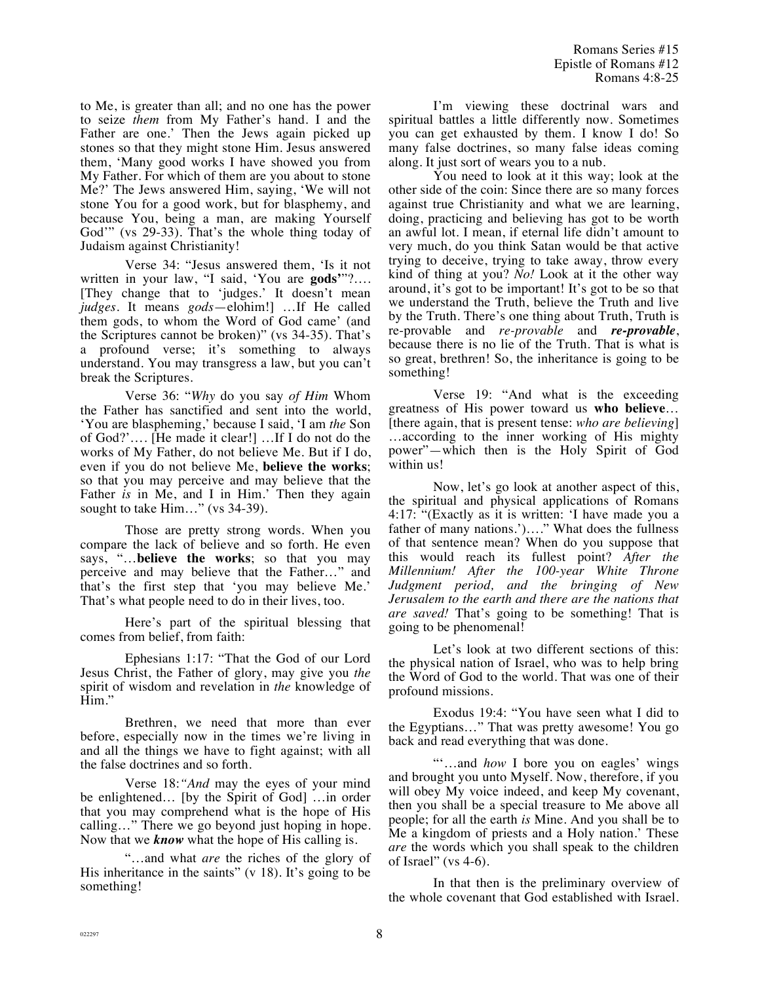to Me, is greater than all; and no one has the power to seize *them* from My Father's hand. I and the Father are one.' Then the Jews again picked up stones so that they might stone Him. Jesus answered them, 'Many good works I have showed you from My Father. For which of them are you about to stone Me?' The Jews answered Him, saying, 'We will not stone You for a good work, but for blasphemy, and because You, being a man, are making Yourself God'" (vs 29-33). That's the whole thing today of Judaism against Christianity!

Verse 34: "Jesus answered them, 'Is it not written in your law, "I said, 'You are **gods'**"?…. [They change that to 'judges.' It doesn't mean *judges.* It means *gods*—elohim!] …If He called them gods, to whom the Word of God came' (and the Scriptures cannot be broken)" (vs 34-35). That's a profound verse; it's something to always understand. You may transgress a law, but you can't break the Scriptures.

Verse 36: "*Why* do you say *of Him* Whom the Father has sanctified and sent into the world, 'You are blaspheming,' because I said, 'I am *the* Son of God?'…. [He made it clear!] …If I do not do the works of My Father, do not believe Me. But if I do, even if you do not believe Me, **believe the works**; so that you may perceive and may believe that the Father *is* in Me, and I in Him.' Then they again sought to take Him..." (vs 34-39).

Those are pretty strong words. When you compare the lack of believe and so forth. He even says, "…**believe the works**; so that you may perceive and may believe that the Father…" and that's the first step that 'you may believe Me.' That's what people need to do in their lives, too.

Here's part of the spiritual blessing that comes from belief, from faith:

Ephesians 1:17: "That the God of our Lord Jesus Christ, the Father of glory, may give you *the* spirit of wisdom and revelation in *the* knowledge of Him."

Brethren, we need that more than ever before, especially now in the times we're living in and all the things we have to fight against; with all the false doctrines and so forth.

Verse 18:*"And* may the eyes of your mind be enlightened… [by the Spirit of God] …in order that you may comprehend what is the hope of His calling…" There we go beyond just hoping in hope. Now that we *know* what the hope of His calling is.

"…and what *are* the riches of the glory of His inheritance in the saints"  $(v 18)$ . It's going to be something!

I'm viewing these doctrinal wars and spiritual battles a little differently now. Sometimes you can get exhausted by them. I know I do! So many false doctrines, so many false ideas coming along. It just sort of wears you to a nub.

You need to look at it this way; look at the other side of the coin: Since there are so many forces against true Christianity and what we are learning, doing, practicing and believing has got to be worth an awful lot. I mean, if eternal life didn't amount to very much, do you think Satan would be that active trying to deceive, trying to take away, throw every kind of thing at you? *No!* Look at it the other way around, it's got to be important! It's got to be so that we understand the Truth, believe the Truth and live by the Truth. There's one thing about Truth, Truth is re-provable and *re-provable* and *re-provable*, because there is no lie of the Truth. That is what is so great, brethren! So, the inheritance is going to be something!

Verse 19: "And what is the exceeding greatness of His power toward us **who believe**… [there again, that is present tense: *who are believing*] …according to the inner working of His mighty power"—which then is the Holy Spirit of God within us!

Now, let's go look at another aspect of this, the spiritual and physical applications of Romans 4:17: "(Exactly as it is written: 'I have made you a father of many nations.')…." What does the fullness of that sentence mean? When do you suppose that this would reach its fullest point? *After the Millennium! After the 100-year White Throne Judgment period, and the bringing of New Jerusalem to the earth and there are the nations that are saved!* That's going to be something! That is going to be phenomenal!

Let's look at two different sections of this: the physical nation of Israel, who was to help bring the Word of God to the world. That was one of their profound missions.

Exodus 19:4: "You have seen what I did to the Egyptians…" That was pretty awesome! You go back and read everything that was done.

"'…and *how* I bore you on eagles' wings and brought you unto Myself. Now, therefore, if you will obey My voice indeed, and keep My covenant, then you shall be a special treasure to Me above all people; for all the earth *is* Mine. And you shall be to Me a kingdom of priests and a Holy nation.' These *are* the words which you shall speak to the children of Israel" (vs 4-6).

In that then is the preliminary overview of the whole covenant that God established with Israel.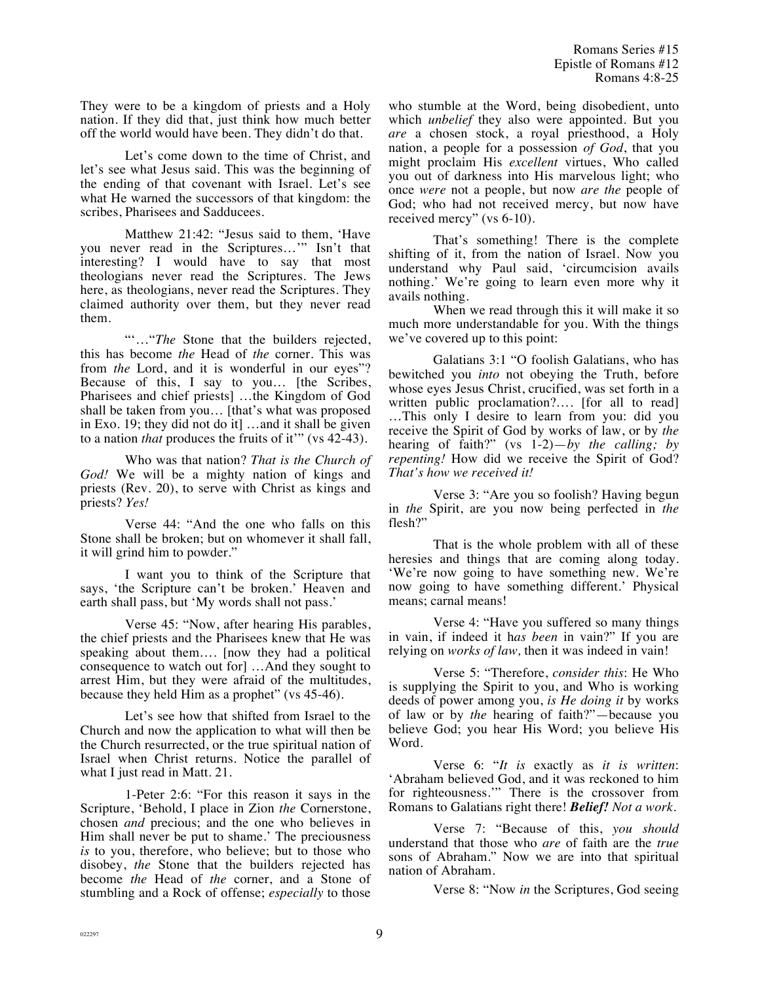Romans Series #15 Epistle of Romans #12 Romans 4:8-25

They were to be a kingdom of priests and a Holy nation. If they did that, just think how much better off the world would have been. They didn't do that.

Let's come down to the time of Christ, and let's see what Jesus said. This was the beginning of the ending of that covenant with Israel. Let's see what He warned the successors of that kingdom: the scribes, Pharisees and Sadducees.

Matthew 21:42: "Jesus said to them, 'Have you never read in the Scriptures…'" Isn't that interesting? I would have to say that most theologians never read the Scriptures. The Jews here, as theologians, never read the Scriptures. They claimed authority over them, but they never read them.

""..."*The* Stone that the builders rejected, this has become *the* Head of *the* corner. This was from *the* Lord, and it is wonderful in our eyes"? Because of this, I say to you… [the Scribes, Pharisees and chief priests] …the Kingdom of God shall be taken from you… [that's what was proposed in Exo. 19; they did not do it] …and it shall be given to a nation *that* produces the fruits of it'" (vs 42-43).

Who was that nation? *That is the Church of God!* We will be a mighty nation of kings and priests (Rev. 20), to serve with Christ as kings and priests? *Yes!*

Verse 44: "And the one who falls on this Stone shall be broken; but on whomever it shall fall, it will grind him to powder."

I want you to think of the Scripture that says, 'the Scripture can't be broken.' Heaven and earth shall pass, but 'My words shall not pass.'

Verse 45: "Now, after hearing His parables, the chief priests and the Pharisees knew that He was speaking about them…. [now they had a political consequence to watch out for] …And they sought to arrest Him, but they were afraid of the multitudes, because they held Him as a prophet" (vs 45-46).

Let's see how that shifted from Israel to the Church and now the application to what will then be the Church resurrected, or the true spiritual nation of Israel when Christ returns. Notice the parallel of what I just read in Matt. 21.

1-Peter 2:6: "For this reason it says in the Scripture, 'Behold, I place in Zion *the* Cornerstone, chosen *and* precious; and the one who believes in Him shall never be put to shame.' The preciousness *is* to you, therefore, who believe; but to those who disobey, *the* Stone that the builders rejected has become *the* Head of *the* corner, and a Stone of stumbling and a Rock of offense; *especially* to those who stumble at the Word, being disobedient, unto which *unbelief* they also were appointed. But you *are* a chosen stock, a royal priesthood, a Holy nation, a people for a possession *of God*, that you might proclaim His *excellent* virtues, Who called you out of darkness into His marvelous light; who once *were* not a people, but now *are the* people of God; who had not received mercy, but now have received mercy" (vs 6-10).

That's something! There is the complete shifting of it, from the nation of Israel. Now you understand why Paul said, 'circumcision avails nothing.' We're going to learn even more why it avails nothing.

When we read through this it will make it so much more understandable for you. With the things we've covered up to this point:

Galatians 3:1 "O foolish Galatians, who has bewitched you *into* not obeying the Truth, before whose eyes Jesus Christ, crucified, was set forth in a written public proclamation?.... [for all to read] …This only I desire to learn from you: did you receive the Spirit of God by works of law, or by *the* hearing of faith?" (vs 1-2)—*by the calling; by repenting!* How did we receive the Spirit of God? *That's how we received it!*

Verse 3: "Are you so foolish? Having begun in *the* Spirit, are you now being perfected in *the* flesh?"

That is the whole problem with all of these heresies and things that are coming along today. 'We're now going to have something new. We're now going to have something different.' Physical means; carnal means!

Verse 4: "Have you suffered so many things in vain, if indeed it h*as been* in vain?" If you are relying on *works of law,* then it was indeed in vain!

Verse 5: "Therefore, *consider this*: He Who is supplying the Spirit to you, and Who is working deeds of power among you, *is He doing it* by works of law or by *the* hearing of faith?"—because you believe God; you hear His Word; you believe His Word.

Verse 6: "*It is* exactly as *it is written*: 'Abraham believed God, and it was reckoned to him for righteousness.'" There is the crossover from Romans to Galatians right there! *Belief! Not a work.*

Verse 7: "Because of this, *you should* understand that those who *are* of faith are the *true* sons of Abraham." Now we are into that spiritual nation of Abraham.

Verse 8: "Now *in* the Scriptures, God seeing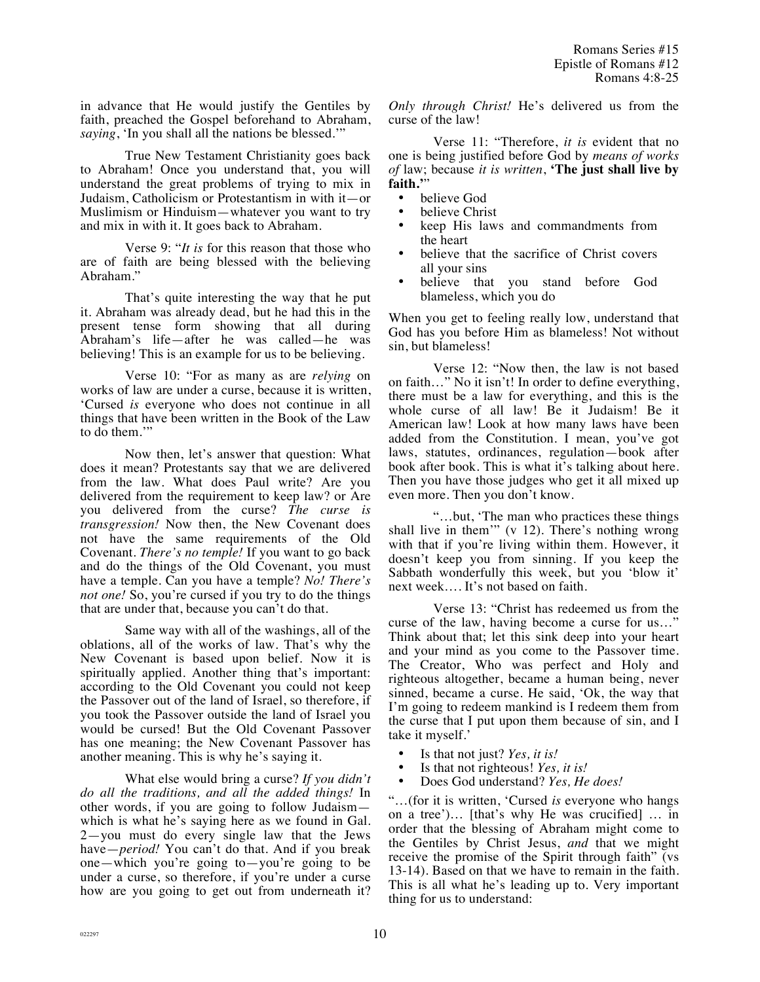in advance that He would justify the Gentiles by faith, preached the Gospel beforehand to Abraham, *saying*, 'In you shall all the nations be blessed.'"

True New Testament Christianity goes back to Abraham! Once you understand that, you will understand the great problems of trying to mix in Judaism, Catholicism or Protestantism in with it—or Muslimism or Hinduism—whatever you want to try and mix in with it. It goes back to Abraham.

Verse 9: "*It is* for this reason that those who are of faith are being blessed with the believing Abraham."

That's quite interesting the way that he put it. Abraham was already dead, but he had this in the present tense form showing that all during Abraham's life—after he was called—he was believing! This is an example for us to be believing.

Verse 10: "For as many as are *relying* on works of law are under a curse, because it is written, 'Cursed *is* everyone who does not continue in all things that have been written in the Book of the Law to do them.'"

Now then, let's answer that question: What does it mean? Protestants say that we are delivered from the law. What does Paul write? Are you delivered from the requirement to keep law? or Are you delivered from the curse? *The curse is transgression!* Now then, the New Covenant does not have the same requirements of the Old Covenant. *There's no temple!* If you want to go back and do the things of the Old Covenant, you must have a temple. Can you have a temple? *No! There's not one!* So, you're cursed if you try to do the things that are under that, because you can't do that.

Same way with all of the washings, all of the oblations, all of the works of law. That's why the New Covenant is based upon belief. Now it is spiritually applied. Another thing that's important: according to the Old Covenant you could not keep the Passover out of the land of Israel, so therefore, if you took the Passover outside the land of Israel you would be cursed! But the Old Covenant Passover has one meaning; the New Covenant Passover has another meaning. This is why he's saying it.

What else would bring a curse? *If you didn't do all the traditions, and all the added things!* In other words, if you are going to follow Judaism which is what he's saying here as we found in Gal. 2—you must do every single law that the Jews have—*period!* You can't do that. And if you break one—which you're going to—you're going to be under a curse, so therefore, if you're under a curse how are you going to get out from underneath it? *Only through Christ!* He's delivered us from the curse of the law!

Verse 11: "Therefore, *it is* evident that no one is being justified before God by *means of works of* law; because *it is written*, **'The just shall live by faith.'**"

- believe God
- believe Christ
- keep His laws and commandments from the heart
- believe that the sacrifice of Christ covers all your sins
- believe that you stand before God blameless, which you do

When you get to feeling really low, understand that God has you before Him as blameless! Not without sin, but blameless!

Verse 12: "Now then, the law is not based on faith…" No it isn't! In order to define everything, there must be a law for everything, and this is the whole curse of all law! Be it Judaism! Be it American law! Look at how many laws have been added from the Constitution. I mean, you've got laws, statutes, ordinances, regulation—book after book after book. This is what it's talking about here. Then you have those judges who get it all mixed up even more. Then you don't know.

"…but, 'The man who practices these things shall live in them'" (v 12). There's nothing wrong with that if you're living within them. However, it doesn't keep you from sinning. If you keep the Sabbath wonderfully this week, but you 'blow it' next week…. It's not based on faith.

Verse 13: "Christ has redeemed us from the curse of the law, having become a curse for us…" Think about that; let this sink deep into your heart and your mind as you come to the Passover time. The Creator, Who was perfect and Holy and righteous altogether, became a human being, never sinned, became a curse. He said, 'Ok, the way that I'm going to redeem mankind is I redeem them from the curse that I put upon them because of sin, and I take it myself.'

- Is that not just? *Yes, it is!*<br>• Is that not righteous! *Yes*
- Is that not righteous! *Yes, it is!*
- Does God understand? *Yes, He does!*

"…(for it is written, 'Cursed *is* everyone who hangs on a tree')… [that's why He was crucified] … in order that the blessing of Abraham might come to the Gentiles by Christ Jesus, *and* that we might receive the promise of the Spirit through faith" (vs 13-14). Based on that we have to remain in the faith. This is all what he's leading up to. Very important thing for us to understand: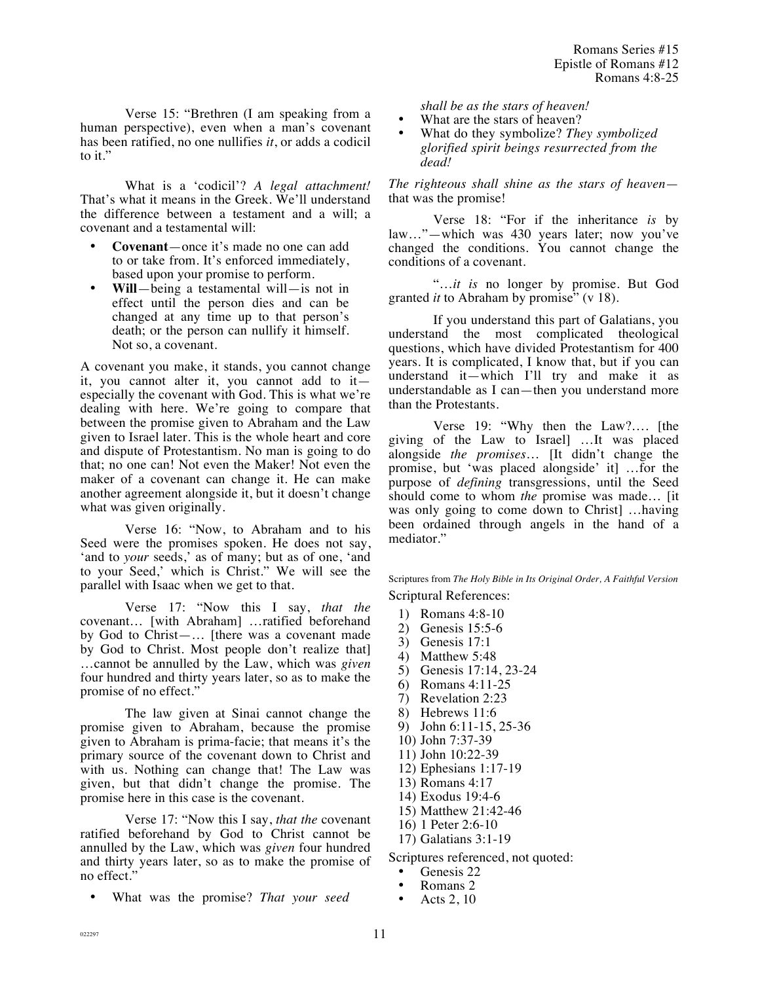Verse 15: "Brethren (I am speaking from a human perspective), even when a man's covenant has been ratified, no one nullifies *it*, or adds a codicil to it."

What is a 'codicil'? *A legal attachment!* That's what it means in the Greek. We'll understand the difference between a testament and a will; a covenant and a testamental will:

- **Covenant**—once it's made no one can add to or take from. It's enforced immediately, based upon your promise to perform.
- **Will**—being a testamental will—is not in effect until the person dies and can be changed at any time up to that person's death; or the person can nullify it himself. Not so, a covenant.

A covenant you make, it stands, you cannot change it, you cannot alter it, you cannot add to it especially the covenant with God. This is what we're dealing with here. We're going to compare that between the promise given to Abraham and the Law given to Israel later. This is the whole heart and core and dispute of Protestantism. No man is going to do that; no one can! Not even the Maker! Not even the maker of a covenant can change it. He can make another agreement alongside it, but it doesn't change what was given originally.

Verse 16: "Now, to Abraham and to his Seed were the promises spoken. He does not say, 'and to *your* seeds,' as of many; but as of one, 'and to your Seed,' which is Christ." We will see the parallel with Isaac when we get to that.

Verse 17: "Now this I say, *that the*  covenant… [with Abraham] …ratified beforehand by God to Christ—… [there was a covenant made by God to Christ. Most people don't realize that] …cannot be annulled by the Law, which was *given* four hundred and thirty years later, so as to make the promise of no effect."

The law given at Sinai cannot change the promise given to Abraham, because the promise given to Abraham is prima-facie; that means it's the primary source of the covenant down to Christ and with us. Nothing can change that! The Law was given, but that didn't change the promise. The promise here in this case is the covenant.

Verse 17: "Now this I say, *that the* covenant ratified beforehand by God to Christ cannot be annulled by the Law, which was *given* four hundred and thirty years later, so as to make the promise of no effect."

• What was the promise? *That your seed* 

*shall be as the stars of heaven!*

- What are the stars of heaven?
- What do they symbolize? *They symbolized glorified spirit beings resurrected from the dead!*

*The righteous shall shine as the stars of heaven* that was the promise!

Verse 18: "For if the inheritance *is* by law…"—which was 430 years later; now you've changed the conditions. You cannot change the conditions of a covenant.

"…*it is* no longer by promise. But God granted *it* to Abraham by promise" (v 18).

If you understand this part of Galatians, you understand the most complicated theological questions, which have divided Protestantism for 400 years. It is complicated, I know that, but if you can understand it—which I'll try and make it as understandable as I can—then you understand more than the Protestants.

Verse 19: "Why then the Law?…. [the giving of the Law to Israel] …It was placed alongside *the promises*… [It didn't change the promise, but 'was placed alongside' it] …for the purpose of *defining* transgressions, until the Seed should come to whom *the* promise was made… [it was only going to come down to Christ] …having been ordained through angels in the hand of a mediator."

Scriptures from *The Holy Bible in Its Original Order, A Faithful Version*  Scriptural References:

- 1) Romans 4:8-10
- 2) Genesis 15:5-6
- 3) Genesis 17:1
- 4) Matthew 5:48
- 5) Genesis 17:14, 23-24
- 6) Romans 4:11-25
- 7) Revelation 2:23
- 8) Hebrews 11:6
- 9) John 6:11-15, 25-36
- 10) John 7:37-39
- 11) John 10:22-39
- 12) Ephesians 1:17-19
- 13) Romans 4:17
- 14) Exodus 19:4-6
- 15) Matthew 21:42-46
- 16) 1 Peter 2:6-10
- 17) Galatians 3:1-19

Scriptures referenced, not quoted:

- Genesis 22
- Romans 2<br>• Acts 2 10
- Acts 2, 10